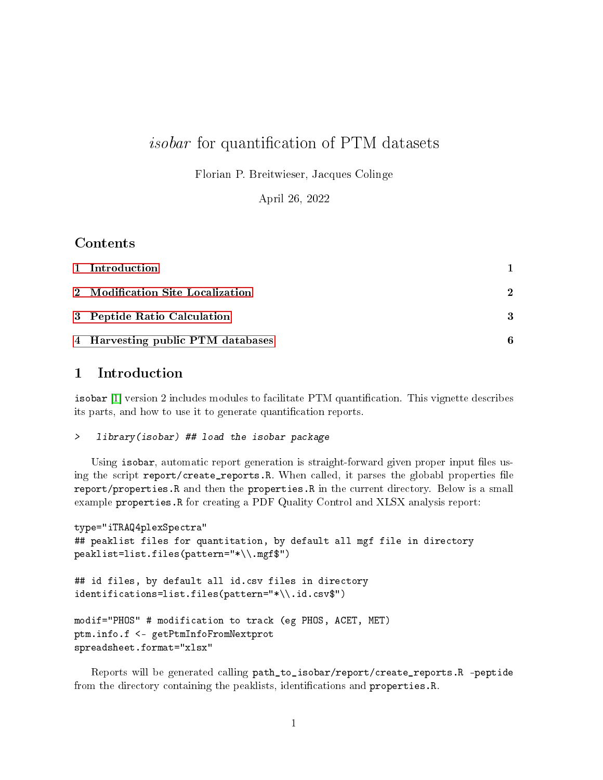# *isobar* for quantification of PTM datasets

Florian P. Breitwieser, Jacques Colinge

April 26, 2022

# Contents

| 1 Introduction                    |             |
|-----------------------------------|-------------|
| 2 Modification Site Localization  | $\mathbf 2$ |
| 3 Peptide Ratio Calculation       | 3           |
| 4 Harvesting public PTM databases | 6           |

# <span id="page-0-0"></span>1 Introduction

isobar  $[1]$  version 2 includes modules to facilitate PTM quantification. This vignette describes its parts, and how to use it to generate quantification reports.

#### > library(isobar) ## load the isobar package

Using isobar, automatic report generation is straight-forward given proper input files using the script report/create\_reports.R. When called, it parses the globabl properties file report/properties.R and then the properties.R in the current directory. Below is a small example properties.R for creating a PDF Quality Control and XLSX analysis report:

```
type="iTRAQ4plexSpectra"
## peaklist files for quantitation, by default all mgf file in directory
peaklist=list.files(pattern="*\\.mgf$")
## id files, by default all id.csv files in directory
identifications=list.files(pattern="*\\.id.csv$")
modif="PHOS" # modification to track (eg PHOS, ACET, MET)
ptm.info.f <- getPtmInfoFromNextprot
spreadsheet.format="xlsx"
```
Reports will be generated calling path\_to\_isobar/report/create\_reports.R -peptide from the directory containing the peaklists, identifications and properties.R.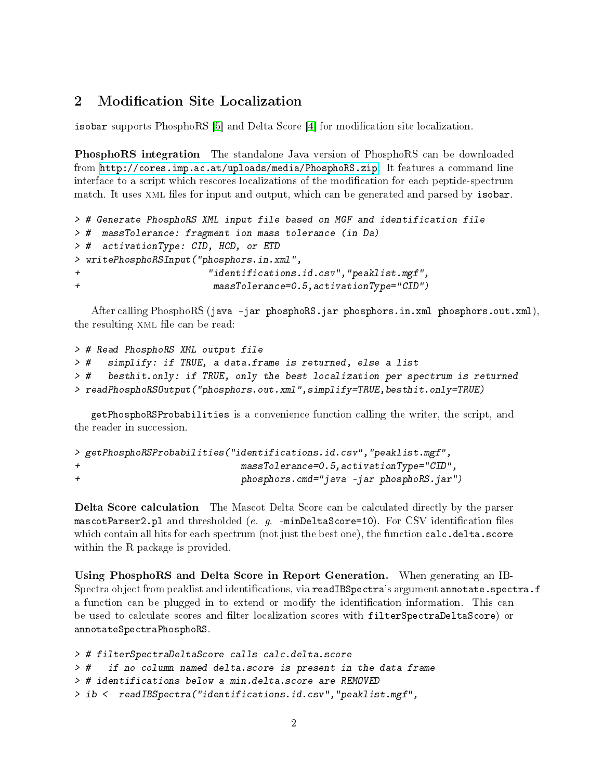## <span id="page-1-0"></span>2 Modification Site Localization

isobar supports PhosphoRS [\[5\]](#page-7-0) and Delta Score [\[4\]](#page-6-1) for modication site localization.

PhosphoRS integration The standalone Java version of PhosphoRS can be downloaded from [http://cores.imp.ac.at/uploads/media/PhosphoRS.zip.](http://cores.imp.ac.at/uploads/media/PhosphoRS.zip) It features a command line interface to a script which rescores localizations of the modification for each peptide-spectrum match. It uses XML files for input and output, which can be generated and parsed by isobar.

```
> # Generate PhosphoRS XML input file based on MGF and identification file
> # massTolerance: fragment ion mass tolerance (in Da)
> # activationType: CID, HCD, or ETD
> writePhosphoRSInput("phosphors.in.xml",
+ "identifications.id.csv","peaklist.mgf",
+ massTolerance=0.5,activationType="CID")
```
After calling PhosphoRS (java -jar phosphoRS.jar phosphors.in.xml phosphors.out.xml), the resulting XML file can be read:

```
> # Read PhosphoRS XML output file
> # simplify: if TRUE, a data.frame is returned, else a list
> # besthit.only: if TRUE, only the best localization per spectrum is returned
> readPhosphoRSOutput("phosphors.out.xml",simplify=TRUE,besthit.only=TRUE)
```
getPhosphoRSProbabilities is a convenience function calling the writer, the script, and the reader in succession.

```
> getPhosphoRSProbabilities("identifications.id.csv","peaklist.mgf",
+ massTolerance=0.5,activationType="CID",
+ phosphors.cmd="java -jar phosphoRS.jar")
```
Delta Score calculation The Mascot Delta Score can be calculated directly by the parser mascotParser2.pl and thresholded (e.  $g$ . -minDeltaScore=10). For CSV identification files which contain all hits for each spectrum (not just the best one), the function calc.delta.score within the R package is provided.

Using PhosphoRS and Delta Score in Report Generation. When generating an IB-Spectra object from peaklist and identifications, via readIBSpectra's argument annotate.spectra.f a function can be plugged in to extend or modify the identification information. This can be used to calculate scores and filter localization scores with filterSpectraDeltaScore) or annotateSpectraPhosphoRS.

```
> # filterSpectraDeltaScore calls calc.delta.score
> # if no column named delta.score is present in the data frame
> # identifications below a min.delta.score are REMOVED
> ib <- readIBSpectra("identifications.id.csv","peaklist.mgf",
```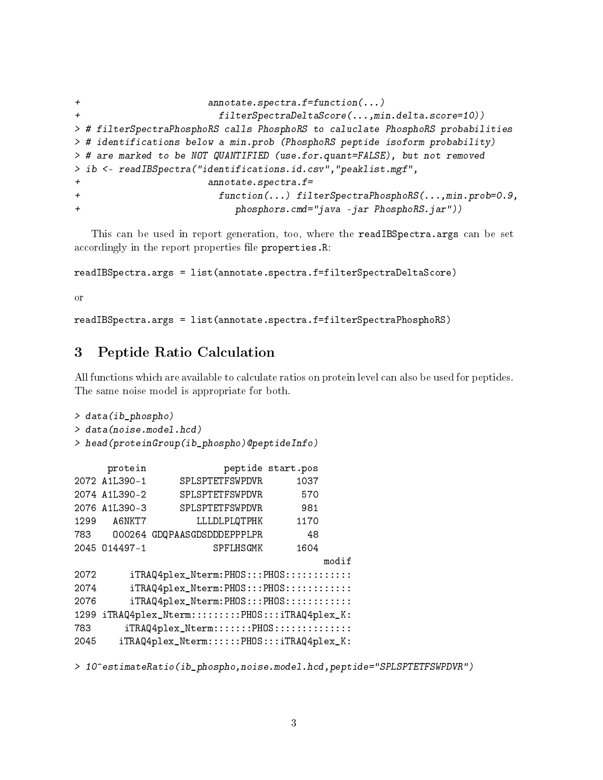```
+ annotate.spectra.f=function(...)
+ filterSpectraDeltaScore(...,min.delta.score=10))
> # filterSpectraPhosphoRS calls PhosphoRS to caluclate PhosphoRS probabilities
> # identifications below a min.prob (PhosphoRS peptide isoform probability)
> # are marked to be NOT QUANTIFIED (use.for.quant=FALSE), but not removed
> ib <- readIBSpectra("identifications.id.csv","peaklist.mgf",
                    annotate. spectra.f=+ function(...) filterSpectraPhosphoRS(...,min.prob=0.9,
+ phosphors.cmd="java -jar PhosphoRS.jar"))
```
This can be used in report generation, too, where the readIBSpectra.args can be set accordingly in the report properties file properties.R:

readIBSpectra.args = list(annotate.spectra.f=filterSpectraDeltaScore)

or

readIBSpectra.args = list(annotate.spectra.f=filterSpectraPhosphoRS)

#### <span id="page-2-0"></span>3 Peptide Ratio Calculation

All functions which are available to calculate ratios on protein level can also be used for peptides. The same noise model is appropriate for both.

```
> data(ib_phospho)
> data(noise.model.hcd)
> head(proteinGroup(ib_phospho)@peptideInfo)
     protein peptide start.pos
2072 A1L390-1 SPLSPTETFSWPDVR 1037
2074 A1L390-2 SPLSPTETFSWPDVR 570
2076 A1L390-3 SPLSPTETFSWPDVR 981
1299 A6NKT7 LLLDLPLQTPHK 1170
783 O00264 GDQPAASGDSDDDEPPPLPR 48
2045 O14497-1 SPFLHSGMK 1604
                                      modif
2072 iTRAQ4plex_Nterm:PHOS:::PHOS:::::::::::
2074 iTRAQ4plex_Nterm:PHOS:::PHOS:::::::::::
2076 iTRAQ4plex_Nterm:PHOS:::PHOS:::::::::::
1299 iTRAQ4plex_Nterm:::::::::PHOS:::iTRAQ4plex_K:
783 iTRAQ4plex_Nterm:::::::PHOS::::::::::::::
2045 iTRAQ4plex_Nterm::::::PHOS:::iTRAQ4plex_K:
```
> 10^estimateRatio(ib\_phospho,noise.model.hcd,peptide="SPLSPTETFSWPDVR")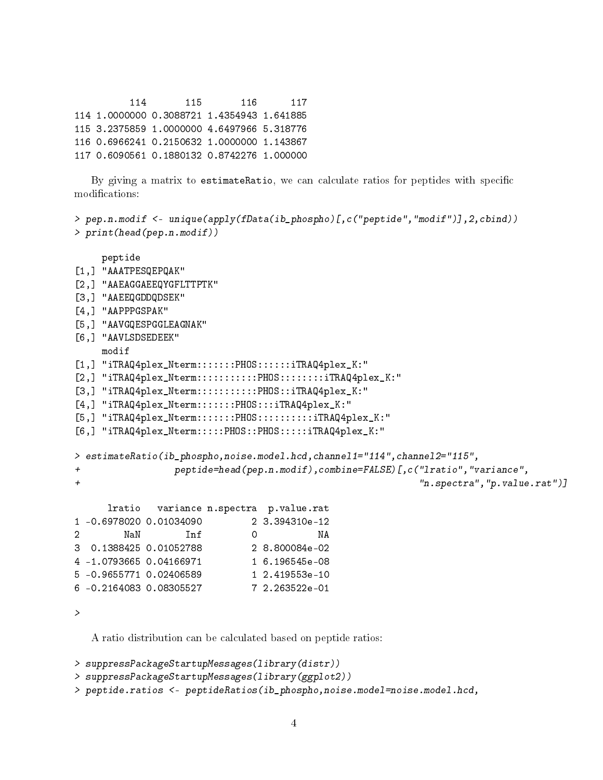114 115 116 117 114 1.0000000 0.3088721 1.4354943 1.641885 115 3.2375859 1.0000000 4.6497966 5.318776 116 0.6966241 0.2150632 1.0000000 1.143867 117 0.6090561 0.1880132 0.8742276 1.000000

By giving a matrix to estimateRatio, we can calculate ratios for peptides with specific modifications:

```
> pep.n.modif <- unique(apply(fData(ib_phospho)[,c("peptide","modif")],2,cbind))
> print(head(pep.n.modif))
    peptide
[1,] "AAATPESQEPQAK"
[2,] "AAEAGGAEEQYGFLTTPTK"
[3,] "AAEEQGDDQDSEK"
[4,] "AAPPPGSPAK"
[5,] "AAVGQESPGGLEAGNAK"
[6,] "AAVLSDSEDEEK"
   modif
[1,] "iTRAQ4plex_Nterm:::::::PHOS::::::iTRAQ4plex_K:"
[2,] "iTRAQ4plex_Nterm:::::::::::PHOS::::::::iTRAQ4plex_K:"
[3,] "iTRAQ4plex_Nterm:::::::::::PHOS::iTRAQ4plex_K:"
[4,] "iTRAQ4plex_Nterm:::::::PHOS:::iTRAQ4plex_K:"
[5,] "iTRAQ4plex_Nterm:::::::PHOS:::::::::iTRAQ4plex_K:"
[6,] "iTRAQ4plex_Nterm:::::PHOS::PHOS:::::iTRAQ4plex_K:"
> estimateRatio(ib_phospho,noise.model.hcd,channel1="114",channel2="115",
+ peptide=head(pep.n.modif),combine=FALSE)[,c("lratio","variance",
+ "n.spectra","p.value.rat")]
     lratio variance n.spectra p.value.rat
1 -0.6978020 0.01034090 2 3.394310e-12
2 NaN Inf 0 NA
3 0.1388425 0.01052788 2 8.800084e-02
4 -1.0793665 0.04166971 1 6.196545e-08
5 -0.9655771 0.02406589 1 2.419553e-10
6 -0.2164083 0.08305527 7 2.263522e-01
>
```
A ratio distribution can be calculated based on peptide ratios:

```
> suppressPackageStartupMessages(library(distr))
```

```
> suppressPackageStartupMessages(library(ggplot2))
```
> peptide.ratios <- peptideRatios(ib\_phospho,noise.model=noise.model.hcd,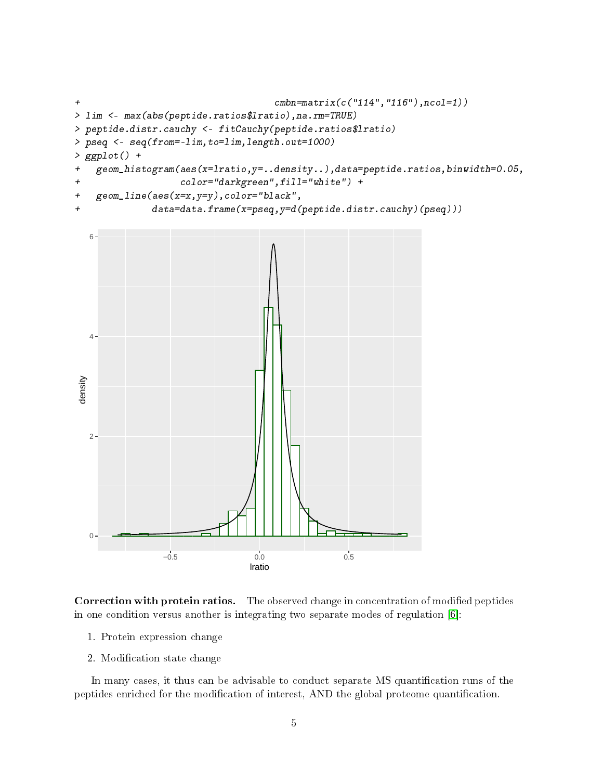```
+ cmbn=matrix(c("114","116"),ncol=1))
> lim <- max(abs(peptide.ratios$lratio),na.rm=TRUE)
> peptide.distr.cauchy <- fitCauchy(peptide.ratios$lratio)
> pseq <- seq(from=-lim,to=lim,length.out=1000)
> ggplot() +
+ geom_histogram(aes(x=lratio,y=..density..),data=peptide.ratios,binwidth=0.05,
+ color="darkgreen",fill="white") +
+ geom_line(aes(x=x,y=y),color="black",
+ data=data.frame(x=pseq,y=d(peptide.distr.cauchy)(pseq)))
```


Correction with protein ratios. The observed change in concentration of modified peptides in one condition versus another is integrating two separate modes of regulation [\[6\]](#page-7-1):

- 1. Protein expression change
- 2. Modification state change

In many cases, it thus can be advisable to conduct separate MS quantification runs of the peptides enriched for the modification of interest, AND the global proteome quantification.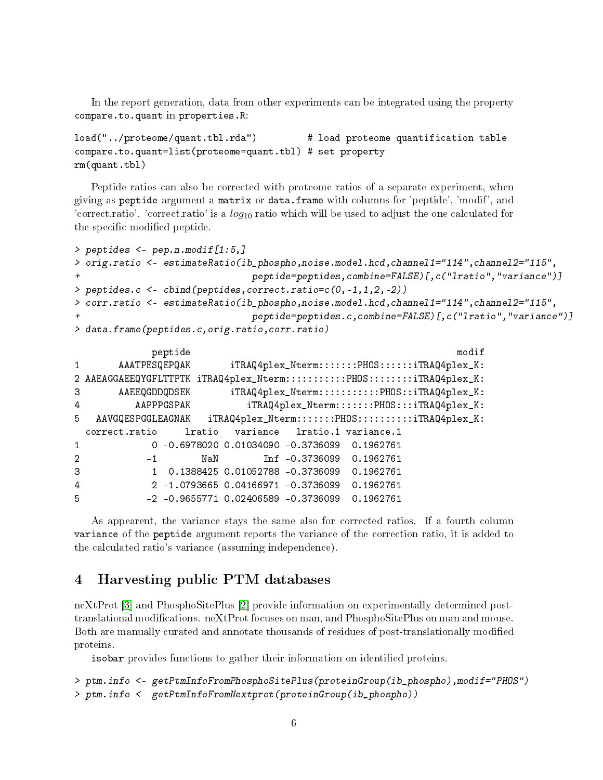In the report generation, data from other experiments can be integrated using the property compare.to.quant in properties.R:

```
load("../proteome/quant.tbl.rda") # load proteome quantification table
compare.to.quant=list(proteome=quant.tbl) # set property
rm(quant.tbl)
```
Peptide ratios can also be corrected with proteome ratios of a separate experiment, when giving as peptide argument a matrix or data.frame with columns for 'peptide', 'modif', and 'correct.ratio'. 'correct.ratio' is a  $log_{10}$  ratio which will be used to adjust the one calculated for the specific modified peptide.

```
> peptides <- pep.n.modif[1:5,]
> orig.ratio <- estimateRatio(ib_phospho,noise.model.hcd,channel1="114",channel2="115",
+ peptide=peptides,combine=FALSE)[,c("lratio","variance")]
> peptides.c <- cbind(peptides,correct.ratio=c(0,-1,1,2,-2))
> corr.ratio <- estimateRatio(ib_phospho,noise.model.hcd,channel1="114",channel2="115",
+ peptide=peptides.c,combine=FALSE)[,c("lratio","variance")]
> data.frame(peptides.c,orig.ratio,corr.ratio)
```

```
peptide modif
1 AAATPESQEPQAK iTRAQ4plex_Nterm:::::::PHOS::::::iTRAQ4plex_K:
2 AAEAGGAEEQYGFLTTPTK iTRAQ4plex_Nterm:::::::::::PHOS:::::::iTRAQ4plex_K:
3 AAEEQGDDQDSEK iTRAQ4plex_Nterm:::::::::::PHOS::iTRAQ4plex_K:
4 AAPPPGSPAK iTRAQ4plex_Nterm:::::::PHOS:::iTRAQ4plex_K:
5 AAVGQESPGGLEAGNAK iTRAQ4plex_Nterm:::::::PHOS::::::::::iTRAQ4plex_K:
 correct.ratio lratio variance lratio.1 variance.1
1 0 -0.6978020 0.01034090 -0.3736099 0.1962761
2 -1 NaN Inf -0.3736099 0.1962761
3 1 0.1388425 0.01052788 -0.3736099 0.1962761
4 2 -1.0793665 0.04166971 -0.3736099 0.1962761
5 -2 -0.9655771 0.02406589 -0.3736099 0.1962761
```
As appearent, the variance stays the same also for corrected ratios. If a fourth column variance of the peptide argument reports the variance of the correction ratio, it is added to the calculated ratio's variance (assuming independence).

## <span id="page-5-0"></span>4 Harvesting public PTM databases

neXtProt [\[3\]](#page-6-2) and PhosphoSitePlus [\[2\]](#page-6-3) provide information on experimentally determined posttranslational modifications. neXtProt focuses on man, and PhosphoSitePlus on man and mouse. Both are manually curated and annotate thousands of residues of post-translationally modified proteins.

isobar provides functions to gather their information on identified proteins.

```
> ptm.info <- getPtmInfoFromPhosphoSitePlus(proteinGroup(ib_phospho),modif="PHOS")
> ptm.info <- getPtmInfoFromNextprot(proteinGroup(ib_phospho))
```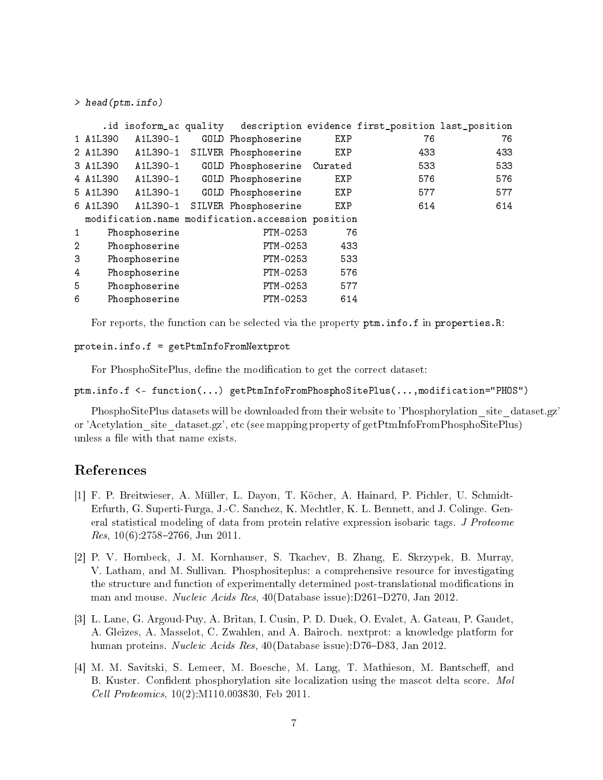```
> head(ptm.info)
```

|                |               |               |                                                   |     | .id isoform_ac quality description evidence first_position last_position |     |
|----------------|---------------|---------------|---------------------------------------------------|-----|--------------------------------------------------------------------------|-----|
|                | 1 A1L390      | A1L390-1      | GOLD Phosphoserine                                | EXP | 76                                                                       | 76  |
|                | 2 A1L390      | A1L390-1      | SILVER Phosphoserine                              | EXP | 433                                                                      | 433 |
|                | 3 A1L390      | A1L390-1      | GOLD Phosphoserine Curated                        |     | 533                                                                      | 533 |
|                | 4 A1L390      |               | A1L390-1 GOLD Phosphoserine                       | EXP | 576                                                                      | 576 |
|                | 5 A1L390      | A1L390-1      | GOLD Phosphoserine                                | EXP | 577                                                                      | 577 |
|                | 6 A1L390      | A1L390-1      | SILVER Phosphoserine                              | EXP | 614                                                                      | 614 |
|                |               |               | modification.name modification.accession position |     |                                                                          |     |
| $\mathbf{1}$   |               | Phosphoserine | PTM-0253                                          | 76  |                                                                          |     |
| $\overline{2}$ |               | Phosphoserine | PTM-0253                                          | 433 |                                                                          |     |
| 3              |               | Phosphoserine | PTM-0253                                          | 533 |                                                                          |     |
| 4              | Phosphoserine |               | PTM-0253                                          | 576 |                                                                          |     |
| 5              | Phosphoserine |               | PTM-0253                                          | 577 |                                                                          |     |
| 6              |               | Phosphoserine | PTM-0253                                          | 614 |                                                                          |     |
|                |               |               |                                                   |     |                                                                          |     |

For reports, the function can be selected via the property ptm.info.f in properties.R:

```
protein.info.f = getPtmInfoFromNextprot
```
For PhosphoSitePlus, define the modification to get the correct dataset:

ptm.info.f <- function(...) getPtmInfoFromPhosphoSitePlus(...,modification="PHOS")

PhosphoSitePlus datasets will be downloaded from their website to 'Phosphorylation site dataset.gz' or 'Acetylation\_site\_dataset.gz', etc (see mapping property of getPtmInfoFromPhosphoSitePlus) unless a file with that name exists.

#### References

- <span id="page-6-0"></span>[1] F. P. Breitwieser, A. Müller, L. Dayon, T. Köcher, A. Hainard, P. Pichler, U. Schmidt-Erfurth, G. Superti-Furga, J.-C. Sanchez, K. Mechtler, K. L. Bennett, and J. Colinge. General statistical modeling of data from protein relative expression isobaric tags. J Proteome Res,  $10(6)$ :2758-2766, Jun 2011.
- <span id="page-6-3"></span>[2] P. V. Hornbeck, J. M. Kornhauser, S. Tkachev, B. Zhang, E. Skrzypek, B. Murray, V. Latham, and M. Sullivan. Phosphositeplus: a comprehensive resource for investigating the structure and function of experimentally determined post-translational modications in man and mouse. Nucleic Acids Res,  $40(D \text{atabase issue}) : D261-D270$ , Jan 2012.
- <span id="page-6-2"></span>[3] L. Lane, G. Argoud-Puy, A. Britan, I. Cusin, P. D. Duek, O. Evalet, A. Gateau, P. Gaudet, A. Gleizes, A. Masselot, C. Zwahlen, and A. Bairoch. nextprot: a knowledge platform for human proteins. Nucleic Acids Res,  $40(D \text{atabase issue})$ :D76-D83, Jan 2012.
- <span id="page-6-1"></span>[4] M. M. Savitski, S. Lemeer, M. Boesche, M. Lang, T. Mathieson, M. Bantscheff, and B. Kuster. Confident phosphorylation site localization using the mascot delta score. Mol Cell Proteomics, 10(2):M110.003830, Feb 2011.